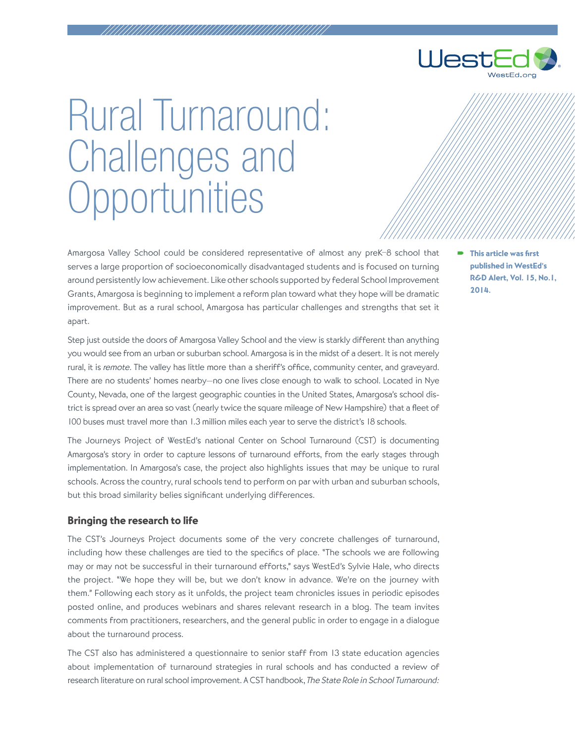

## Rural Turnaround: Challenges and **Opportunities**

Amargosa Valley School could be considered representative of almost any preK–8 school that serves a large proportion of socioeconomically disadvantaged students and is focused on turning around persistently low achievement. Like other schools supported by federal School Improvement Grants, Amargosa is beginning to implement a reform plan toward what they hope will be dramatic improvement. But as a rural school, Amargosa has particular challenges and strengths that set it apart.

Step just outside the doors of Amargosa Valley School and the view is starkly different than anything you would see from an urban or suburban school. Amargosa is in the midst of a desert. It is not merely rural, it is remote. The valley has little more than a sheriff's office, community center, and graveyard. There are no students' homes nearby—no one lives close enough to walk to school. Located in Nye County, Nevada, one of the largest geographic counties in the United States, Amargosa's school district is spread over an area so vast (nearly twice the square mileage of New Hampshire) that a fleet of 100 buses must travel more than 1.3 million miles each year to serve the district's 18 schools.

The Journeys Project of WestEd's national Center on School Turnaround (CST) is documenting Amargosa's story in order to capture lessons of turnaround efforts, from the early stages through implementation. In Amargosa's case, the project also highlights issues that may be unique to rural schools. Across the country, rural schools tend to perform on par with urban and suburban schools, but this broad similarity belies significant underlying differences.

## Bringing the research to life

The CST's Journeys Project documents some of the very concrete challenges of turnaround, including how these challenges are tied to the specifics of place. "The schools we are following may or may not be successful in their turnaround efforts," says WestEd's Sylvie Hale, who directs the project. "We hope they will be, but we don't know in advance. We're on the journey with them." Following each story as it unfolds, the project team chronicles issues in periodic episodes posted online, and produces webinars and shares relevant research in a blog. The team invites comments from practitioners, researchers, and the general public in order to engage in a dialogue about the turnaround process.

The CST also has administered a questionnaire to senior staff from 13 state education agencies about implementation of turnaround strategies in rural schools and has conducted a review of research literature on rural school improvement. A CST handbook, The State Role in School Turnaround:

 This article was first published in WestEd's R&D Alert, Vol. 15, No.1, 2014.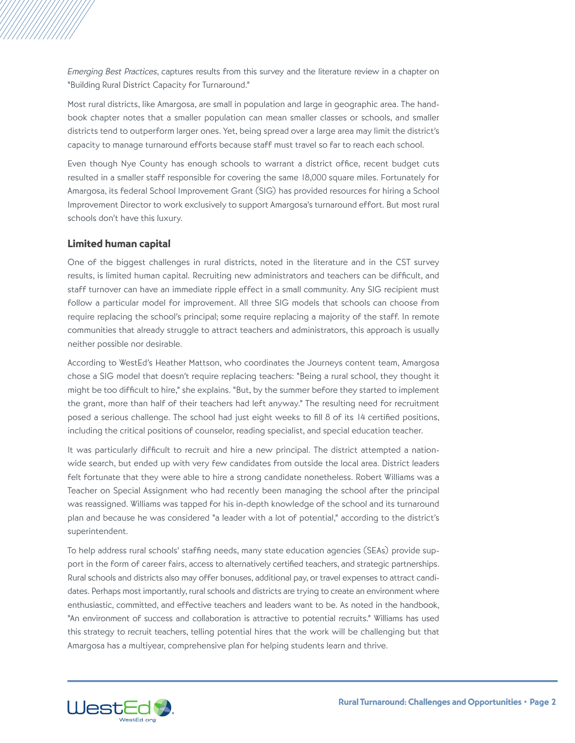Emerging Best Practices, captures results from this survey and the literature review in a chapter on "Building Rural District Capacity for Turnaround."

Most rural districts, like Amargosa, are small in population and large in geographic area. The handbook chapter notes that a smaller population can mean smaller classes or schools, and smaller districts tend to outperform larger ones. Yet, being spread over a large area may limit the district's capacity to manage turnaround efforts because staff must travel so far to reach each school.

Even though Nye County has enough schools to warrant a district office, recent budget cuts resulted in a smaller staff responsible for covering the same 18,000 square miles. Fortunately for Amargosa, its federal School Improvement Grant (SIG) has provided resources for hiring a School Improvement Director to work exclusively to support Amargosa's turnaround effort. But most rural schools don't have this luxury.

## Limited human capital

One of the biggest challenges in rural districts, noted in the literature and in the CST survey results, is limited human capital. Recruiting new administrators and teachers can be difficult, and staff turnover can have an immediate ripple effect in a small community. Any SIG recipient must follow a particular model for improvement. All three SIG models that schools can choose from require replacing the school's principal; some require replacing a majority of the staff. In remote communities that already struggle to attract teachers and administrators, this approach is usually neither possible nor desirable.

According to WestEd's Heather Mattson, who coordinates the Journeys content team, Amargosa chose a SIG model that doesn't require replacing teachers: "Being a rural school, they thought it might be too difficult to hire," she explains. "But, by the summer before they started to implement the grant, more than half of their teachers had left anyway." The resulting need for recruitment posed a serious challenge. The school had just eight weeks to fill 8 of its 14 certified positions, including the critical positions of counselor, reading specialist, and special education teacher.

It was particularly difficult to recruit and hire a new principal. The district attempted a nationwide search, but ended up with very few candidates from outside the local area. District leaders felt fortunate that they were able to hire a strong candidate nonetheless. Robert Williams was a Teacher on Special Assignment who had recently been managing the school after the principal was reassigned. Williams was tapped for his in-depth knowledge of the school and its turnaround plan and because he was considered "a leader with a lot of potential," according to the district's superintendent.

To help address rural schools' staffing needs, many state education agencies (SEAs) provide support in the form of career fairs, access to alternatively certified teachers, and strategic partnerships. Rural schools and districts also may offer bonuses, additional pay, or travel expenses to attract candidates. Perhaps most importantly, rural schools and districts are trying to create an environment where enthusiastic, committed, and effective teachers and leaders want to be. As noted in the handbook, "An environment of success and collaboration is attractive to potential recruits." Williams has used this strategy to recruit teachers, telling potential hires that the work will be challenging but that Amargosa has a multiyear, comprehensive plan for helping students learn and thrive.